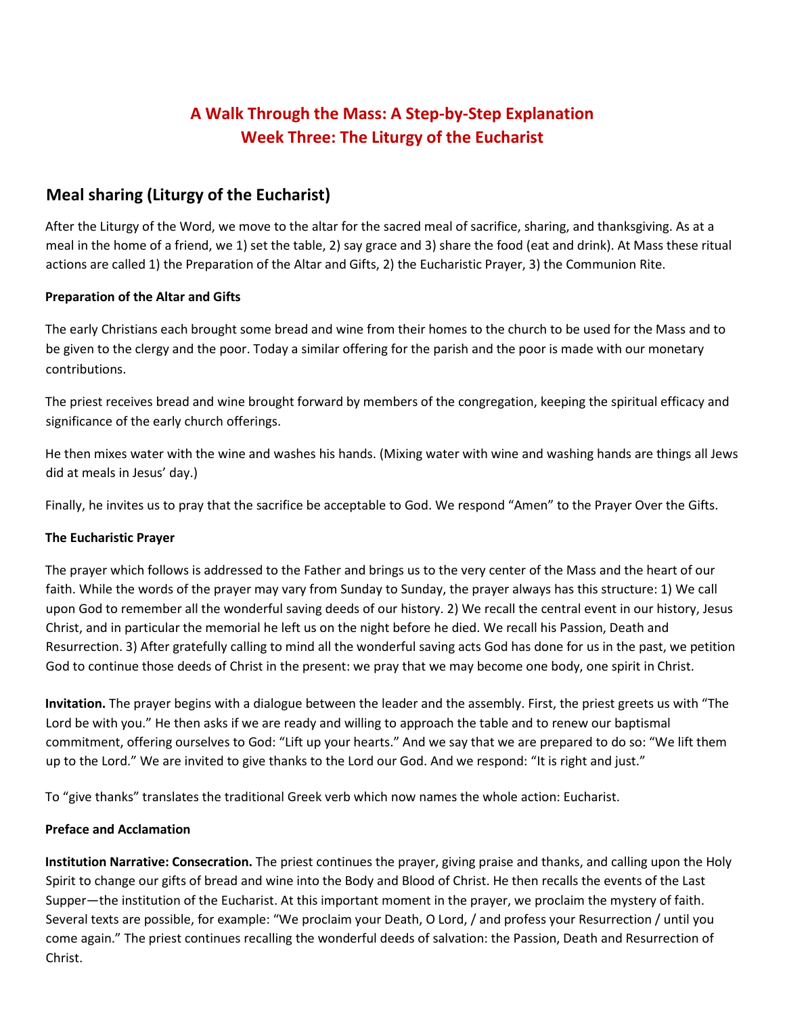# **A Walk Through the Mass: A Step-by-Step Explanation Week Three: The Liturgy of the Eucharist**

## **Meal sharing (Liturgy of the Eucharist)**

After the Liturgy of the Word, we move to the altar for the sacred meal of sacrifice, sharing, and thanksgiving. As at a meal in the home of a friend, we 1) set the table, 2) say grace and 3) share the food (eat and drink). At Mass these ritual actions are called 1) the Preparation of the Altar and Gifts, 2) the Eucharistic Prayer, 3) the Communion Rite.

### **Preparation of the Altar and Gifts**

The early Christians each brought some bread and wine from their homes to the church to be used for the Mass and to be given to the clergy and the poor. Today a similar offering for the parish and the poor is made with our monetary contributions.

The priest receives bread and wine brought forward by members of the congregation, keeping the spiritual efficacy and significance of the early church offerings.

He then mixes water with the wine and washes his hands. (Mixing water with wine and washing hands are things all Jews did at meals in Jesus' day.)

Finally, he invites us to pray that the sacrifice be acceptable to God. We respond "Amen" to the Prayer Over the Gifts.

### **The Eucharistic Prayer**

The prayer which follows is addressed to the Father and brings us to the very center of the Mass and the heart of our faith. While the words of the prayer may vary from Sunday to Sunday, the prayer always has this structure: 1) We call upon God to remember all the wonderful saving deeds of our history. 2) We recall the central event in our history, Jesus Christ, and in particular the memorial he left us on the night before he died. We recall his Passion, Death and Resurrection. 3) After gratefully calling to mind all the wonderful saving acts God has done for us in the past, we petition God to continue those deeds of Christ in the present: we pray that we may become one body, one spirit in Christ.

**Invitation.** The prayer begins with a dialogue between the leader and the assembly. First, the priest greets us with "The Lord be with you." He then asks if we are ready and willing to approach the table and to renew our baptismal commitment, offering ourselves to God: "Lift up your hearts." And we say that we are prepared to do so: "We lift them up to the Lord." We are invited to give thanks to the Lord our God. And we respond: "It is right and just."

To "give thanks" translates the traditional Greek verb which now names the whole action: Eucharist.

### **Preface and Acclamation**

**Institution Narrative: Consecration.** The priest continues the prayer, giving praise and thanks, and calling upon the Holy Spirit to change our gifts of bread and wine into the Body and Blood of Christ. He then recalls the events of the Last Supper—the institution of the Eucharist. At this important moment in the prayer, we proclaim the mystery of faith. Several texts are possible, for example: "We proclaim your Death, O Lord, / and profess your Resurrection / until you come again." The priest continues recalling the wonderful deeds of salvation: the Passion, Death and Resurrection of Christ.